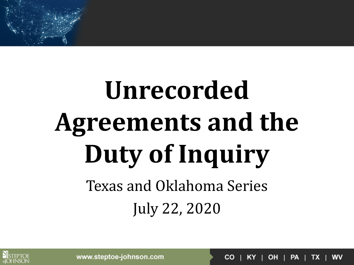# **Unrecorded Agreements and the Duty of Inquiry** Texas and Oklahoma Series July 22, 2020



 $KY$  | OH | PA | TX | CO I

**WV** 

www.steptoe-johnson.com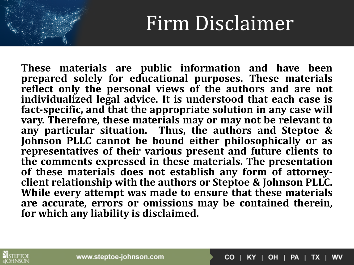#### Firm Disclaimer

**These materials are public information and have been prepared solely for educational purposes. These materials reflect only the personal views of the authors and are not individualized legal advice. It is understood that each case is fact-specific, and that the appropriate solution in any case will vary. Therefore, these materials may or may not be relevant to any particular situation. Thus, the authors and Steptoe & Johnson PLLC cannot be bound either philosophically or as representatives of their various present and future clients to the comments expressed in these materials. The presentation** of these materials does not establish any form of attorney**client relationship with the authors or Steptoe & Johnson PLLC. While every attempt was made to ensure that these materials are accurate, errors or omissions may be contained therein, for which any liability is disclaimed.**



 $CO$  | KY | OH | PA | TX | **WV**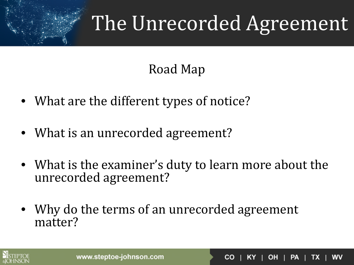### The Unrecorded Agreement

#### Road Map

- What are the different types of notice?
- What is an unrecorded agreement?
- What is the examiner's duty to learn more about the unrecorded agreement?
- Why do the terms of an unrecorded agreement matter?



 $CO$  | KY | OH | PA | TX **WV**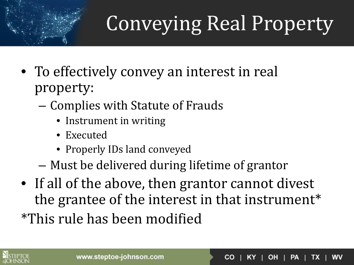## Conveying Real Property

- To effectively convey an interest in real property:
	- Complies with Statute of Frauds
		- Instrument in writing
		- Executed
		- Properly IDs land conveyed
	- Must be delivered during lifetime of grantor
- If all of the above, then grantor cannot divest the grantee of the interest in that instrument\* \*This rule has been modified

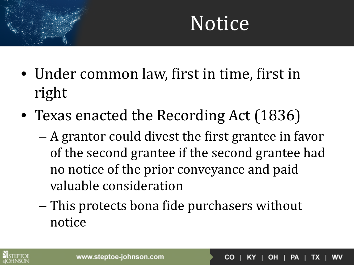- Under common law, first in time, first in right
- Texas enacted the Recording Act (1836)
	- A grantor could divest the first grantee in favor of the second grantee if the second grantee had no notice of the prior conveyance and paid valuable consideration
	- This protects bona fide purchasers without notice

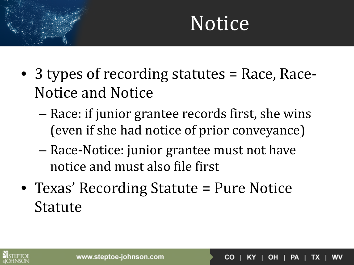- 3 types of recording statutes = Race, Race-Notice and Notice
	- Race: if junior grantee records first, she wins (even if she had notice of prior conveyance)
	- Race-Notice: junior grantee must not have notice and must also file first
- Texas' Recording Statute = Pure Notice Statute

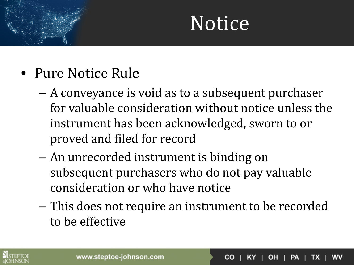- Pure Notice Rule
	- A conveyance is void as to a subsequent purchaser for valuable consideration without notice unless the instrument has been acknowledged, sworn to or proved and filed for record
	- An unrecorded instrument is binding on subsequent purchasers who do not pay valuable consideration or who have notice
	- This does not require an instrument to be recorded to be effective



 $OH$  | PA | **CO** TX.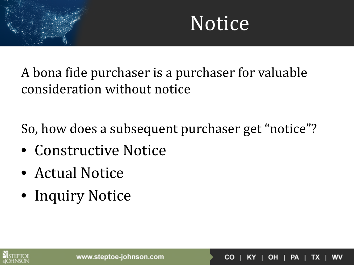$|OH|PA|$ 

**WV** 

TX .

 $CO<sub>1</sub>$ 

KY .

A bona fide purchaser is a purchaser for valuable consideration without notice

So, how does a subsequent purchaser get "notice"?

- Constructive Notice
- Actual Notice
- Inquiry Notice

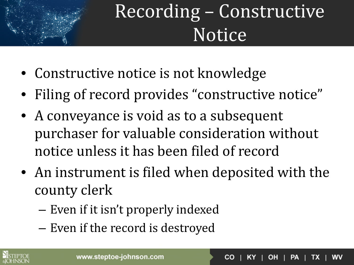

#### Recording – Constructive Notice

- Constructive notice is not knowledge
- Filing of record provides "constructive notice"
- A conveyance is void as to a subsequent purchaser for valuable consideration without notice unless it has been filed of record
- An instrument is filed when deposited with the county clerk
	- Even if it isn't properly indexed
	- Even if the record is destroyed

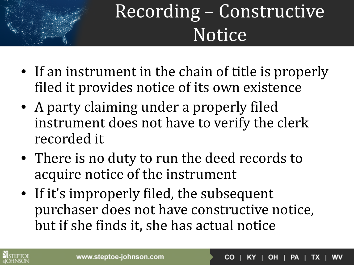

#### Recording – Constructive Notice

- If an instrument in the chain of title is properly filed it provides notice of its own existence
- A party claiming under a properly filed instrument does not have to verify the clerk recorded it
- There is no duty to run the deed records to acquire notice of the instrument
- If it's improperly filed, the subsequent purchaser does not have constructive notice, but if she finds it, she has actual notice

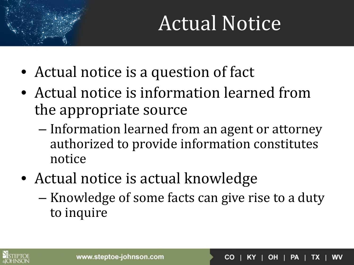## Actual Notice

- Actual notice is a question of fact
- Actual notice is information learned from the appropriate source
	- Information learned from an agent or attorney authorized to provide information constitutes notice
- Actual notice is actual knowledge
	- Knowledge of some facts can give rise to a duty to inquire



OH | PA | WV **CO** TX.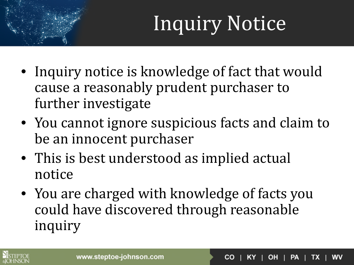## Inquiry Notice

- Inquiry notice is knowledge of fact that would cause a reasonably prudent purchaser to further investigate
- You cannot ignore suspicious facts and claim to be an innocent purchaser
- This is best understood as implied actual notice
- You are charged with knowledge of facts you could have discovered through reasonable inquiry

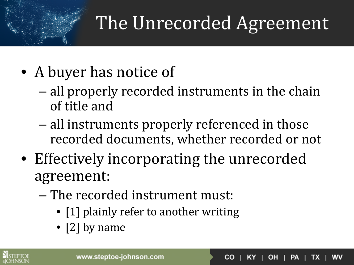#### The Unrecorded Agreement

- A buyer has notice of
	- all properly recorded instruments in the chain of title and
	- all instruments properly referenced in those recorded documents, whether recorded or not
- Effectively incorporating the unrecorded agreement:
	- The recorded instrument must:
		- [1] plainly refer to another writing
		- [2] by name



 $|OH|PA|$ **WV CO** TX.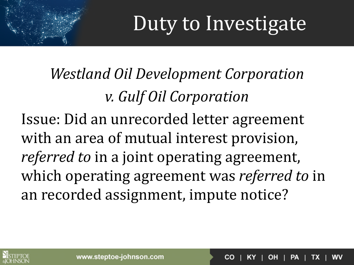*Westland Oil Development Corporation v. Gulf Oil Corporation* Issue: Did an unrecorded letter agreement with an area of mutual interest provision, *referred to* in a joint operating agreement, which operating agreement was *referred to* in an recorded assignment, impute notice?



**OH IPAI** wv CO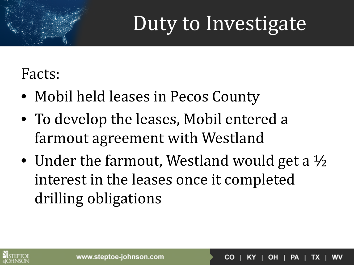**CO** 

OH | PA |

**WV** 

TX.

#### Facts:

- Mobil held leases in Pecos County
- To develop the leases, Mobil entered a farmout agreement with Westland
- Under the farmout, Westland would get a  $\frac{1}{2}$ interest in the leases once it completed drilling obligations

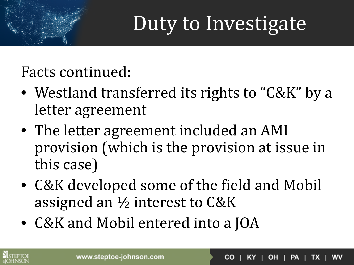Facts continued:

- Westland transferred its rights to "C&K" by a letter agreement
- The letter agreement included an AMI provision (which is the provision at issue in this case)
- C&K developed some of the field and Mobil assigned an ½ interest to C&K
- C&K and Mobil entered into a JOA

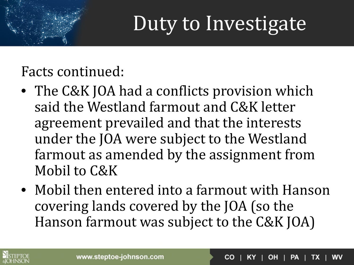Facts continued:

- The C&K JOA had a conflicts provision which said the Westland farmout and C&K letter agreement prevailed and that the interests under the JOA were subject to the Westland farmout as amended by the assignment from Mobil to C&K
- Mobil then entered into a farmout with Hanson covering lands covered by the JOA (so the Hanson farmout was subject to the C&K JOA)

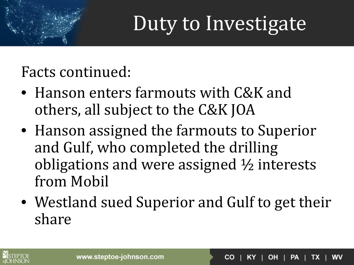Facts continued:

- Hanson enters farmouts with C&K and others, all subject to the C&K JOA
- Hanson assigned the farmouts to Superior and Gulf, who completed the drilling obligations and were assigned ½ interests from Mobil
- Westland sued Superior and Gulf to get their share



OH | PA | **WV CO** TX.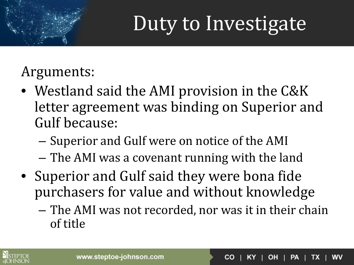Arguments:

- Westland said the AMI provision in the C&K letter agreement was binding on Superior and Gulf because:
	- Superior and Gulf were on notice of the AMI
	- The AMI was a covenant running with the land
- Superior and Gulf said they were bona fide purchasers for value and without knowledge
	- The AMI was not recorded, nor was it in their chain of title

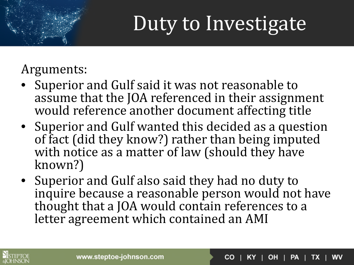Arguments:

- Superior and Gulf said it was not reasonable to assume that the JOA referenced in their assignment would reference another document affecting title
- Superior and Gulf wanted this decided as a question of fact (did they know?) rather than being imputed with notice as a matter of law (should they have known?)
- Superior and Gulf also said they had no duty to inquire because a reasonable person would not have thought that a JOA would contain references to a letter agreement which contained an AMI



 $KY$  | OH | PA | WV **CO** TX.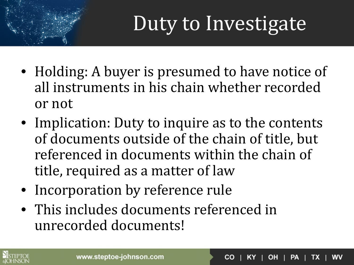- Holding: A buyer is presumed to have notice of all instruments in his chain whether recorded or not
- Implication: Duty to inquire as to the contents of documents outside of the chain of title, but referenced in documents within the chain of title, required as a matter of law
- Incorporation by reference rule
- This includes documents referenced in unrecorded documents!

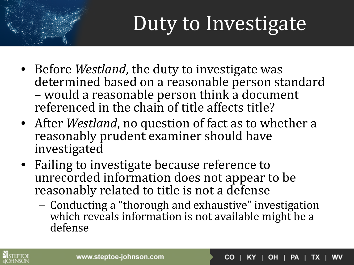- Before *Westland*, the duty to investigate was determined based on a reasonable person standard – would a reasonable person think a document referenced in the chain of title affects title?
- After *Westland*, no question of fact as to whether a reasonably prudent examiner should have investigated
- Failing to investigate because reference to unrecorded information does not appear to be reasonably related to title is not a defense
	- Conducting a "thorough and exhaustive" investigation which reveals information is not available might be a defense



 $|OH|PA|$ WV **CO** TX. KY.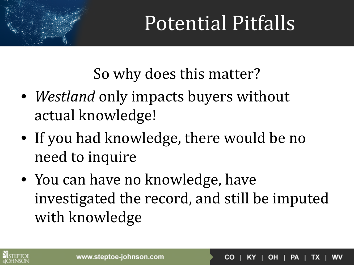So why does this matter?

- *Westland* only impacts buyers without actual knowledge!
- If you had knowledge, there would be no need to inquire
- You can have no knowledge, have investigated the record, and still be imputed with knowledge

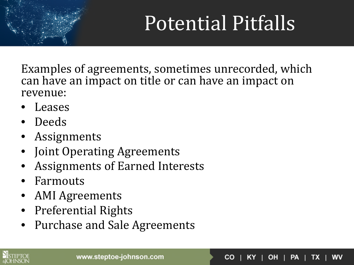$KY$  | OH | PA | TX |

**WV** 

 $CO<sub>1</sub>$ 

Examples of agreements, sometimes unrecorded, which can have an impact on title or can have an impact on revenue:

- Leases
- Deeds
- Assignments
- Joint Operating Agreements
- Assignments of Earned Interests
- Farmouts
- AMI Agreements
- Preferential Rights
- Purchase and Sale Agreements

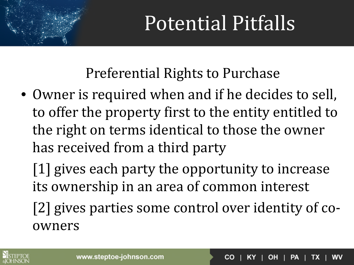Preferential Rights to Purchase

• Owner is required when and if he decides to sell, to offer the property first to the entity entitled to the right on terms identical to those the owner has received from a third party

[1] gives each party the opportunity to increase its ownership in an area of common interest

[2] gives parties some control over identity of coowners

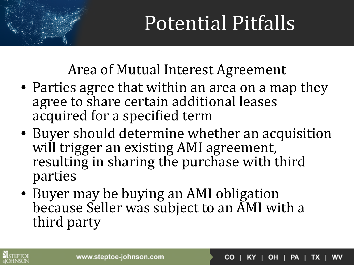Area of Mutual Interest Agreement

- Parties agree that within an area on a map they agree to share certain additional leases acquired for a specified term
- Buyer should determine whether an acquisition will trigger an existing AMI agreement, resulting in sharing the purchase with third parties
- Buyer may be buying an AMI obligation because Seller was subject to an AMI with a third party



 $|OH|PA|$ **CO** TX.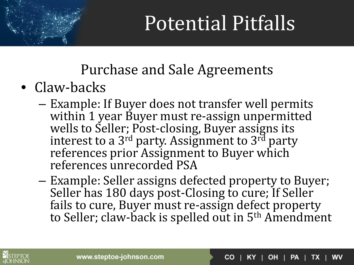Purchase and Sale Agreements

- Claw-backs
	- Example: If Buyer does not transfer well permits within 1 year Buyer must re-assign unpermitted wells to Seller; Post-closing, Buyer assigns its interest to a 3<sup>rd</sup> party. Assignment to  $3^{rd}$  party references prior Assignment to Buyer which references unrecorded PSA
	- Example: Seller assigns defected property to Buyer; Seller has 180 days post-Closing to cure; If Seller fails to cure, Buyer must re-assign defect property to Seller; claw-back is spelled out in 5th Amendment



 $\vert$  OH  $\vert$  PA  $\vert$  TX **WV** CO.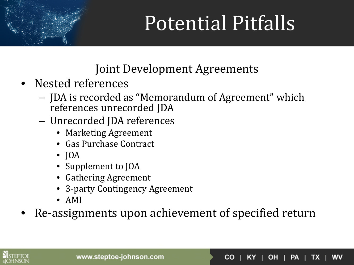Joint Development Agreements

- Nested references
	- JDA is recorded as "Memorandum of Agreement" which references unrecorded JDA
	- Unrecorded JDA references
		- Marketing Agreement
		- Gas Purchase Contract
		- $\bullet$  JOA
		- Supplement to JOA
		- Gathering Agreement
		- 3-party Contingency Agreement
		- AMI
- Re-assignments upon achievement of specified return



 $CO$  | KY | OH | PA | TX | WV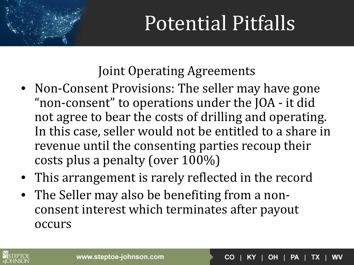Joint Operating Agreements

- Non-Consent Provisions: The seller may have gone "non-consent" to operations under the JOA - it did not agree to bear the costs of drilling and operating. In this case, seller would not be entitled to a share in revenue until the consenting parties recoup their costs plus a penalty (over 100%)
- This arrangement is rarely reflected in the record
- The Seller may also be benefiting from a nonconsent interest which terminates after payout occurs



OH **IPAI** CO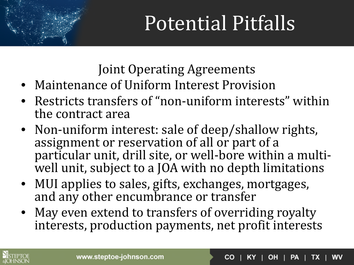Joint Operating Agreements

- Maintenance of Uniform Interest Provision
- Restricts transfers of "non-uniform interests" within the contract area
- Non-uniform interest: sale of deep/shallow rights, assignment or reservation of all or part of a particular unit, drill site, or well-bore within a multiwell unit, subject to a JOA with no depth limitations
- MUI applies to sales, gifts, exchanges, mortgages, and any other encumbrance or transfer
- May even extend to transfers of overriding royalty interests, production payments, net profit interests



 $|OH|PA|$ **CO** TX. wv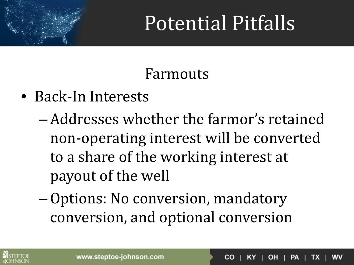#### Farmouts

- Back-In Interests
	- –Addresses whether the farmor's retained non-operating interest will be converted to a share of the working interest at payout of the well
	- –Options: No conversion, mandatory conversion, and optional conversion

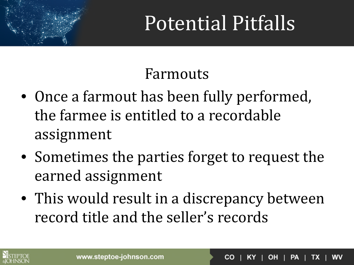#### Farmouts

- Once a farmout has been fully performed, the farmee is entitled to a recordable assignment
- Sometimes the parties forget to request the earned assignment
- This would result in a discrepancy between record title and the seller's records

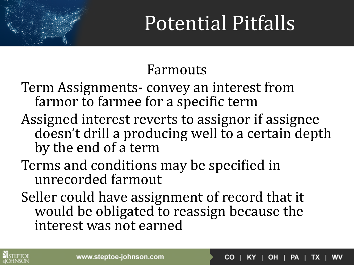#### Farmouts

- Term Assignments- convey an interest from farmor to farmee for a specific term
- Assigned interest reverts to assignor if assignee doesn't drill a producing well to a certain depth by the end of a term
- Terms and conditions may be specified in unrecorded farmout
- Seller could have assignment of record that it would be obligated to reassign because the interest was not earned

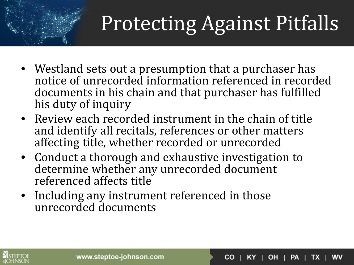## Protecting Against Pitfalls

- Westland sets out a presumption that a purchaser has notice of unrecorded information referenced in recorded documents in his chain and that purchaser has fulfilled his duty of inquiry
- Review each recorded instrument in the chain of title and identify all recitals, references or other matters affecting title, whether recorded or unrecorded
- Conduct a thorough and exhaustive investigation to determine whether any unrecorded document referenced affects title
- Including any instrument referenced in those unrecorded documents

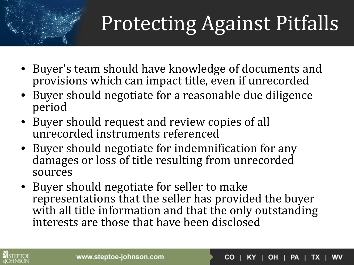## Protecting Against Pitfalls

- Buyer's team should have knowledge of documents and provisions which can impact title, even if unrecorded
- Buyer should negotiate for a reasonable due diligence period
- Buyer should request and review copies of all unrecorded instruments referenced
- Buyer should negotiate for indemnification for any damages or loss of title resulting from unrecorded sources
- Buyer should negotiate for seller to make representations that the seller has provided the buyer with all title information and that the only outstanding interests are those that have been disclosed



 $|OH|PA|$ WV **CO** TX.